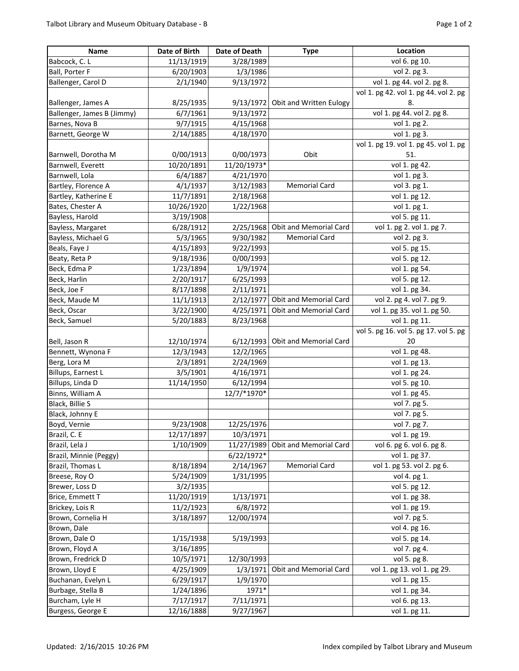| Name                       | Date of Birth | Date of Death | <b>Type</b>                       | Location                              |
|----------------------------|---------------|---------------|-----------------------------------|---------------------------------------|
| Babcock, C. L              | 11/13/1919    | 3/28/1989     |                                   | vol 6. pg 10.                         |
| Ball, Porter F             | 6/20/1903     | 1/3/1986      |                                   | vol 2. pg 3.                          |
| Ballenger, Carol D         | 2/1/1940      | 9/13/1972     |                                   | vol 1. pg 44. vol 2. pg 8.            |
|                            |               |               |                                   | vol 1. pg 42. vol 1. pg 44. vol 2. pg |
| Ballenger, James A         | 8/25/1935     |               | 9/13/1972 Obit and Written Eulogy | 8.                                    |
| Ballenger, James B (Jimmy) | 6/7/1961      | 9/13/1972     |                                   | vol 1. pg 44. vol 2. pg 8.            |
| Barnes, Nova B             | 9/7/1915      | 4/15/1968     |                                   | vol 1. pg 2.                          |
| Barnett, George W          | 2/14/1885     | 4/18/1970     |                                   | vol 1. pg 3.                          |
|                            |               |               |                                   | vol 1. pg 19. vol 1. pg 45. vol 1. pg |
| Barnwell, Dorotha M        | 0/00/1913     | 0/00/1973     | Obit                              | 51.                                   |
| Barnwell, Everett          | 10/20/1891    | 11/20/1973*   |                                   | vol 1. pg 42.                         |
| Barnwell, Lola             | 6/4/1887      | 4/21/1970     |                                   | vol 1. pg 3.                          |
| Bartley, Florence A        | 4/1/1937      | 3/12/1983     | <b>Memorial Card</b>              | vol 3. pg 1.                          |
| Bartley, Katherine E       | 11/7/1891     | 2/18/1968     |                                   | vol 1. pg 12.                         |
| Bates, Chester A           | 10/26/1920    | 1/22/1968     |                                   | vol 1. pg 1.                          |
| Bayless, Harold            | 3/19/1908     |               |                                   | vol 5. pg 11.                         |
| Bayless, Margaret          | 6/28/1912     |               | 2/25/1968 Obit and Memorial Card  | vol 1. pg 2. vol 1. pg 7.             |
| Bayless, Michael G         | 5/3/1965      | 9/30/1982     | <b>Memorial Card</b>              | vol 2. pg 3.                          |
| Beals, Faye J              | 4/15/1893     | 9/22/1993     |                                   | vol 5. pg 15.                         |
| Beaty, Reta P              | 9/18/1936     | 0/00/1993     |                                   | vol 5. pg 12.                         |
| Beck, Edma P               | 1/23/1894     | 1/9/1974      |                                   | vol 1. pg 54.                         |
| Beck, Harlin               | 2/20/1917     | 6/25/1993     |                                   | vol 5. pg 12.                         |
| Beck, Joe F                | 8/17/1898     | 2/11/1971     |                                   | vol 1. pg 34.                         |
| Beck, Maude M              | 11/1/1913     | 2/12/1977     | Obit and Memorial Card            | vol 2. pg 4. vol 7. pg 9.             |
| Beck, Oscar                | 3/22/1900     | 4/25/1971     | Obit and Memorial Card            | vol 1. pg 35. vol 1. pg 50.           |
| Beck, Samuel               | 5/20/1883     | 8/23/1968     |                                   | vol 1. pg 11.                         |
|                            |               |               |                                   | vol 5. pg 16. vol 5. pg 17. vol 5. pg |
| Bell, Jason R              | 12/10/1974    | 6/12/1993     | Obit and Memorial Card            | 20                                    |
| Bennett, Wynona F          | 12/3/1943     | 12/2/1965     |                                   | vol 1. pg 48.                         |
| Berg, Lora M               | 2/3/1891      | 2/24/1969     |                                   | vol 1. pg 13.                         |
| Billups, Earnest L         | 3/5/1901      | 4/16/1971     |                                   | vol 1. pg 24.                         |
| Billups, Linda D           | 11/14/1950    | 6/12/1994     |                                   | vol 5. pg 10.                         |
| Binns, William A           |               | 12/7/*1970*   |                                   | vol 1. pg 45.                         |
| Black, Billie S            |               |               |                                   | vol 7. pg 5.                          |
| Black, Johnny E            |               |               |                                   | vol 7. pg 5.                          |
| Boyd, Vernie               | 9/23/1908     | 12/25/1976    |                                   | vol 7. pg 7.                          |
| Brazil, C. E               | 12/17/1897    | 10/3/1971     |                                   | vol 1. pg 19.                         |
| Brazil, Lela J             | 1/10/1909     | 11/27/1989    | Obit and Memorial Card            | vol 6. pg 6. vol 6. pg 8.             |
| Brazil, Minnie (Peggy)     |               | 6/22/1972*    |                                   | vol 1. pg 37.                         |
| Brazil, Thomas L           | 8/18/1894     | 2/14/1967     | <b>Memorial Card</b>              | vol 1. pg 53. vol 2. pg 6.            |
| Breese, Roy O              | 5/24/1909     | 1/31/1995     |                                   | vol 4. pg 1.                          |
| Brewer, Loss D             | 3/2/1935      |               |                                   | vol 5. pg 12.                         |
| Brice, Emmett T            | 11/20/1919    | 1/13/1971     |                                   | vol 1. pg 38.                         |
| Brickey, Lois R            | 11/2/1923     | 6/8/1972      |                                   | vol 1. pg 19.                         |
| Brown, Cornelia H          | 3/18/1897     | 12/00/1974    |                                   | vol 7. pg 5.                          |
| Brown, Dale                |               |               |                                   | vol 4. pg 16.                         |
| Brown, Dale O              | 1/15/1938     | 5/19/1993     |                                   | vol 5. pg 14.                         |
| Brown, Floyd A             | 3/16/1895     |               |                                   | vol 7. pg 4.                          |
| Brown, Fredrick D          | 10/5/1971     | 12/30/1993    |                                   | vol 5. pg 8.                          |
| Brown, Lloyd E             | 4/25/1909     | 1/3/1971      | Obit and Memorial Card            | vol 1. pg 13. vol 1. pg 29.           |
| Buchanan, Evelyn L         | 6/29/1917     | 1/9/1970      |                                   | vol 1. pg 15.                         |
| Burbage, Stella B          | 1/24/1896     | 1971*         |                                   | vol 1. pg 34.                         |
| Burcham, Lyle H            | 7/17/1917     | 7/11/1971     |                                   | vol 6. pg 13.                         |
| Burgess, George E          | 12/16/1888    | 9/27/1967     |                                   | vol 1. pg 11.                         |